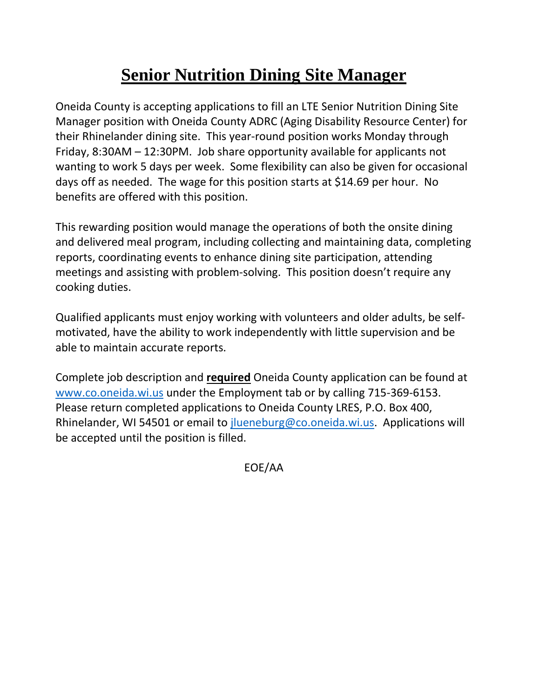## **Senior Nutrition Dining Site Manager**

Oneida County is accepting applications to fill an LTE Senior Nutrition Dining Site Manager position with Oneida County ADRC (Aging Disability Resource Center) for their Rhinelander dining site. This year-round position works Monday through Friday, 8:30AM – 12:30PM. Job share opportunity available for applicants not wanting to work 5 days per week. Some flexibility can also be given for occasional days off as needed. The wage for this position starts at \$14.69 per hour. No benefits are offered with this position.

This rewarding position would manage the operations of both the onsite dining and delivered meal program, including collecting and maintaining data, completing reports, coordinating events to enhance dining site participation, attending meetings and assisting with problem-solving. This position doesn't require any cooking duties.

Qualified applicants must enjoy working with volunteers and older adults, be selfmotivated, have the ability to work independently with little supervision and be able to maintain accurate reports.

Complete job description and **required** Oneida County application can be found at [www.co.oneida.wi.us](http://www.co.oneida.wi.us/) under the Employment tab or by calling 715-369-6153. Please return completed applications to Oneida County LRES, P.O. Box 400, Rhinelander, WI 54501 or email to *jlueneburg@co.oneida.wi.us.* Applications will be accepted until the position is filled.

EOE/AA